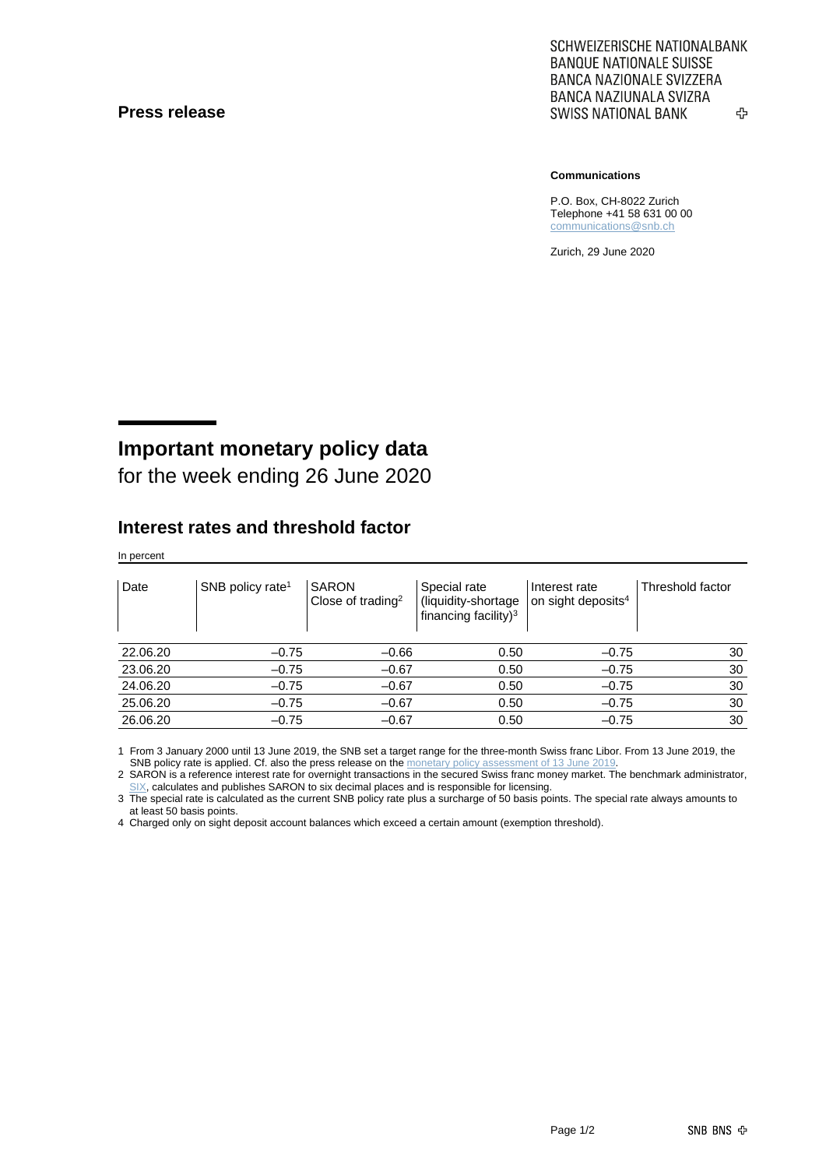#### **Press release**

SCHWEIZERISCHE NATIONALBANK **BANQUE NATIONALE SUISSE BANCA NAZIONALE SVIZZERA** BANCA NAZIUNALA SVIZRA **SWISS NATIONAL BANK** ኇ

#### **Communications**

P.O. Box, CH-8022 Zurich Telephone +41 58 631 00 00 [communications@snb.ch](mailto:communications@snb.ch)

Zurich, 29 June 2020

# **Important monetary policy data**

for the week ending 26 June 2020

### **Interest rates and threshold factor**

In percent

| Date     | SNB policy rate <sup>1</sup> | <b>SARON</b><br>Close of trading <sup>2</sup> | Special rate<br>(liquidity-shortage<br>financing facility) <sup>3</sup> | Interest rate<br>on sight deposits <sup>4</sup> | Threshold factor |
|----------|------------------------------|-----------------------------------------------|-------------------------------------------------------------------------|-------------------------------------------------|------------------|
| 22.06.20 | $-0.75$                      | $-0.66$                                       | 0.50                                                                    | $-0.75$                                         | 30               |
| 23.06.20 | $-0.75$                      | $-0.67$                                       | 0.50                                                                    | $-0.75$                                         | 30               |
| 24.06.20 | $-0.75$                      | $-0.67$                                       | 0.50                                                                    | $-0.75$                                         | 30               |
| 25.06.20 | $-0.75$                      | $-0.67$                                       | 0.50                                                                    | $-0.75$                                         | 30               |
| 26.06.20 | $-0.75$                      | $-0.67$                                       | 0.50                                                                    | $-0.75$                                         | 30               |

1 From 3 January 2000 until 13 June 2019, the SNB set a target range for the three-month Swiss franc Libor. From 13 June 2019, the SNB policy rate is applied. Cf. also the press release on th[e monetary policy assessment of 13](https://www.snb.ch/en/mmr/reference/pre_20190613/source/pre_20190613.en.pdf) June 201

2 SARON is a reference interest rate for overnight transactions in the secured Swiss franc money market. The benchmark administrator, [SIX,](https://www.six-group.com/exchanges/indices/data_centre/swiss_reference_rates/reference_rates_en.html) calculates and publishes SARON to six decimal places and is responsible for licensing.

3 The special rate is calculated as the current SNB policy rate plus a surcharge of 50 basis points. The special rate always amounts to at least 50 basis points.

4 Charged only on sight deposit account balances which exceed a certain amount (exemption threshold).